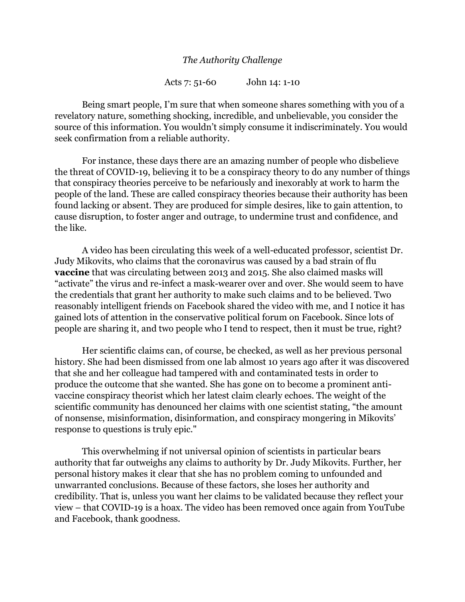## *The Authority Challenge*

Acts 7: 51-60 John 14: 1-10

Being smart people, I'm sure that when someone shares something with you of a revelatory nature, something shocking, incredible, and unbelievable, you consider the source of this information. You wouldn't simply consume it indiscriminately. You would seek confirmation from a reliable authority.

For instance, these days there are an amazing number of people who disbelieve the threat of COVID-19, believing it to be a conspiracy theory to do any number of things that conspiracy theories perceive to be nefariously and inexorably at work to harm the people of the land. These are called conspiracy theories because their authority has been found lacking or absent. They are produced for simple desires, like to gain attention, to cause disruption, to foster anger and outrage, to undermine trust and confidence, and the like.

A video has been circulating this week of a well-educated professor, scientist Dr. Judy Mikovits, who claims that the coronavirus was caused by a bad strain of flu **vaccine** that was circulating between 2013 and 2015. She also claimed masks will "activate" the virus and re-infect a mask-wearer over and over. She would seem to have the credentials that grant her authority to make such claims and to be believed. Two reasonably intelligent friends on Facebook shared the video with me, and I notice it has gained lots of attention in the conservative political forum on Facebook. Since lots of people are sharing it, and two people who I tend to respect, then it must be true, right?

Her scientific claims can, of course, be checked, as well as her previous personal history. She had been dismissed from one lab almost 10 years ago after it was discovered that she and her colleague had tampered with and contaminated tests in order to produce the outcome that she wanted. She has gone on to become a prominent antivaccine conspiracy theorist which her latest claim clearly echoes. The weight of the scientific community has denounced her claims with one scientist stating, "the amount of nonsense, misinformation, disinformation, and conspiracy mongering in Mikovits' response to questions is truly epic."

This overwhelming if not universal opinion of scientists in particular bears authority that far outweighs any claims to authority by Dr. Judy Mikovits. Further, her personal history makes it clear that she has no problem coming to unfounded and unwarranted conclusions. Because of these factors, she loses her authority and credibility. That is, unless you want her claims to be validated because they reflect your view – that COVID-19 is a hoax. The video has been removed once again from YouTube and Facebook, thank goodness.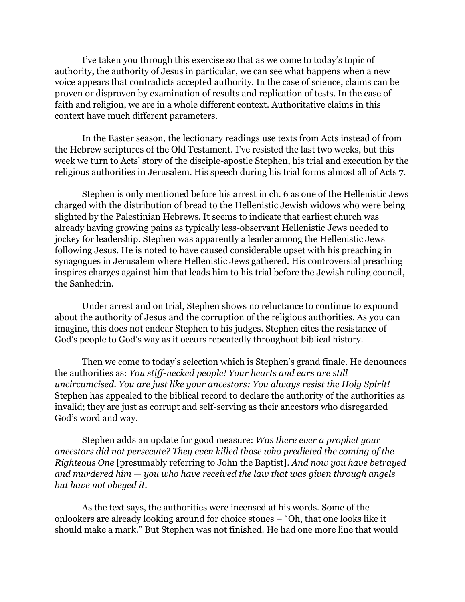I've taken you through this exercise so that as we come to today's topic of authority, the authority of Jesus in particular, we can see what happens when a new voice appears that contradicts accepted authority. In the case of science, claims can be proven or disproven by examination of results and replication of tests. In the case of faith and religion, we are in a whole different context. Authoritative claims in this context have much different parameters.

In the Easter season, the lectionary readings use texts from Acts instead of from the Hebrew scriptures of the Old Testament. I've resisted the last two weeks, but this week we turn to Acts' story of the disciple-apostle Stephen, his trial and execution by the religious authorities in Jerusalem. His speech during his trial forms almost all of Acts 7.

Stephen is only mentioned before his arrest in ch. 6 as one of the Hellenistic Jews charged with the distribution of bread to the Hellenistic Jewish widows who were being slighted by the Palestinian Hebrews. It seems to indicate that earliest church was already having growing pains as typically less-observant Hellenistic Jews needed to jockey for leadership. Stephen was apparently a leader among the Hellenistic Jews following Jesus. He is noted to have caused considerable upset with his preaching in synagogues in Jerusalem where Hellenistic Jews gathered. His controversial preaching inspires charges against him that leads him to his trial before the Jewish ruling council, the Sanhedrin.

Under arrest and on trial, Stephen shows no reluctance to continue to expound about the authority of Jesus and the corruption of the religious authorities. As you can imagine, this does not endear Stephen to his judges. Stephen cites the resistance of God's people to God's way as it occurs repeatedly throughout biblical history.

Then we come to today's selection which is Stephen's grand finale. He denounces the authorities as: *You stiff-necked people! Your hearts and ears are still uncircumcised. You are just like your ancestors: You always resist the Holy Spirit!* Stephen has appealed to the biblical record to declare the authority of the authorities as invalid; they are just as corrupt and self-serving as their ancestors who disregarded God's word and way.

Stephen adds an update for good measure: *Was there ever a prophet your ancestors did not persecute? They even killed those who predicted the coming of the Righteous One* [presumably referring to John the Baptist]*. And now you have betrayed and murdered him — you who have received the law that was given through angels but have not obeyed it*.

As the text says, the authorities were incensed at his words. Some of the onlookers are already looking around for choice stones – "Oh, that one looks like it should make a mark." But Stephen was not finished. He had one more line that would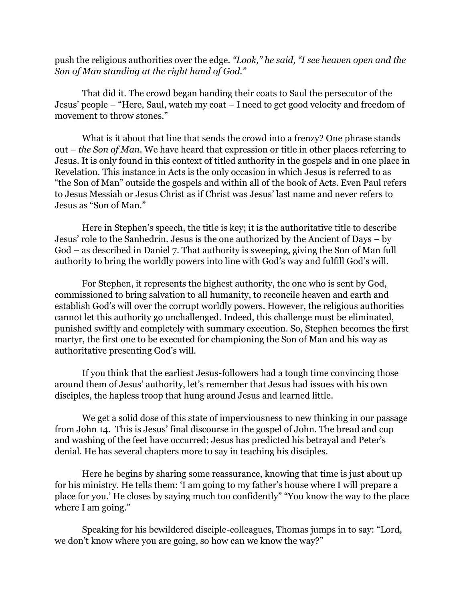push the religious authorities over the edge. *"Look," he said, "I see heaven open and the Son of Man standing at the right hand of God."*

That did it. The crowd began handing their coats to Saul the persecutor of the Jesus' people – "Here, Saul, watch my coat – I need to get good velocity and freedom of movement to throw stones."

What is it about that line that sends the crowd into a frenzy? One phrase stands out – *the Son of Man*. We have heard that expression or title in other places referring to Jesus. It is only found in this context of titled authority in the gospels and in one place in Revelation. This instance in Acts is the only occasion in which Jesus is referred to as "the Son of Man" outside the gospels and within all of the book of Acts. Even Paul refers to Jesus Messiah or Jesus Christ as if Christ was Jesus' last name and never refers to Jesus as "Son of Man."

Here in Stephen's speech, the title is key; it is the authoritative title to describe Jesus' role to the Sanhedrin. Jesus is the one authorized by the Ancient of Days – by God – as described in Daniel 7. That authority is sweeping, giving the Son of Man full authority to bring the worldly powers into line with God's way and fulfill God's will.

For Stephen, it represents the highest authority, the one who is sent by God, commissioned to bring salvation to all humanity, to reconcile heaven and earth and establish God's will over the corrupt worldly powers. However, the religious authorities cannot let this authority go unchallenged. Indeed, this challenge must be eliminated, punished swiftly and completely with summary execution. So, Stephen becomes the first martyr, the first one to be executed for championing the Son of Man and his way as authoritative presenting God's will.

If you think that the earliest Jesus-followers had a tough time convincing those around them of Jesus' authority, let's remember that Jesus had issues with his own disciples, the hapless troop that hung around Jesus and learned little.

We get a solid dose of this state of imperviousness to new thinking in our passage from John 14. This is Jesus' final discourse in the gospel of John. The bread and cup and washing of the feet have occurred; Jesus has predicted his betrayal and Peter's denial. He has several chapters more to say in teaching his disciples.

Here he begins by sharing some reassurance, knowing that time is just about up for his ministry. He tells them: 'I am going to my father's house where I will prepare a place for you.' He closes by saying much too confidently" "You know the way to the place where I am going."

Speaking for his bewildered disciple-colleagues, Thomas jumps in to say: "Lord, we don't know where you are going, so how can we know the way?"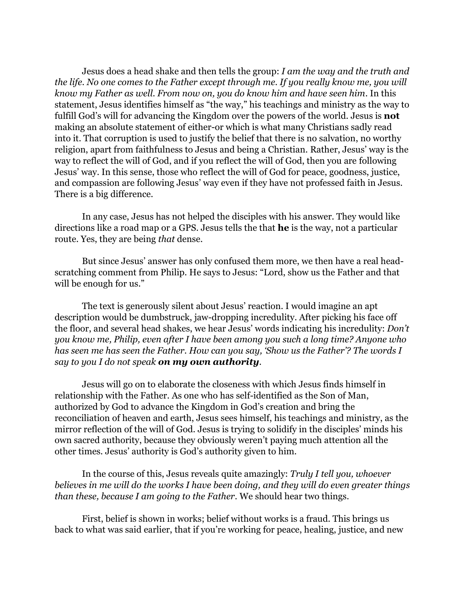Jesus does a head shake and then tells the group: *I am the way and the truth and the life. No one comes to the Father except through me. If you really know me, you will know my Father as well. From now on, you do know him and have seen him*. In this statement, Jesus identifies himself as "the way," his teachings and ministry as the way to fulfill God's will for advancing the Kingdom over the powers of the world. Jesus is **not** making an absolute statement of either-or which is what many Christians sadly read into it. That corruption is used to justify the belief that there is no salvation, no worthy religion, apart from faithfulness to Jesus and being a Christian. Rather, Jesus' way is the way to reflect the will of God, and if you reflect the will of God, then you are following Jesus' way. In this sense, those who reflect the will of God for peace, goodness, justice, and compassion are following Jesus' way even if they have not professed faith in Jesus. There is a big difference.

In any case, Jesus has not helped the disciples with his answer. They would like directions like a road map or a GPS. Jesus tells the that **he** is the way, not a particular route. Yes, they are being *that* dense.

But since Jesus' answer has only confused them more, we then have a real headscratching comment from Philip. He says to Jesus: "Lord, show us the Father and that will be enough for us."

The text is generously silent about Jesus' reaction. I would imagine an apt description would be dumbstruck, jaw-dropping incredulity. After picking his face off the floor, and several head shakes, we hear Jesus' words indicating his incredulity: *Don't you know me, Philip, even after I have been among you such a long time? Anyone who has seen me has seen the Father. How can you say, 'Show us the Father'? The words I say to you I do not speak on my own authority.*

Jesus will go on to elaborate the closeness with which Jesus finds himself in relationship with the Father. As one who has self-identified as the Son of Man, authorized by God to advance the Kingdom in God's creation and bring the reconciliation of heaven and earth, Jesus sees himself, his teachings and ministry, as the mirror reflection of the will of God. Jesus is trying to solidify in the disciples' minds his own sacred authority, because they obviously weren't paying much attention all the other times. Jesus' authority is God's authority given to him.

In the course of this, Jesus reveals quite amazingly: *Truly I tell you, whoever believes in me will do the works I have been doing, and they will do even greater things than these, because I am going to the Father*. We should hear two things.

First, belief is shown in works; belief without works is a fraud. This brings us back to what was said earlier, that if you're working for peace, healing, justice, and new